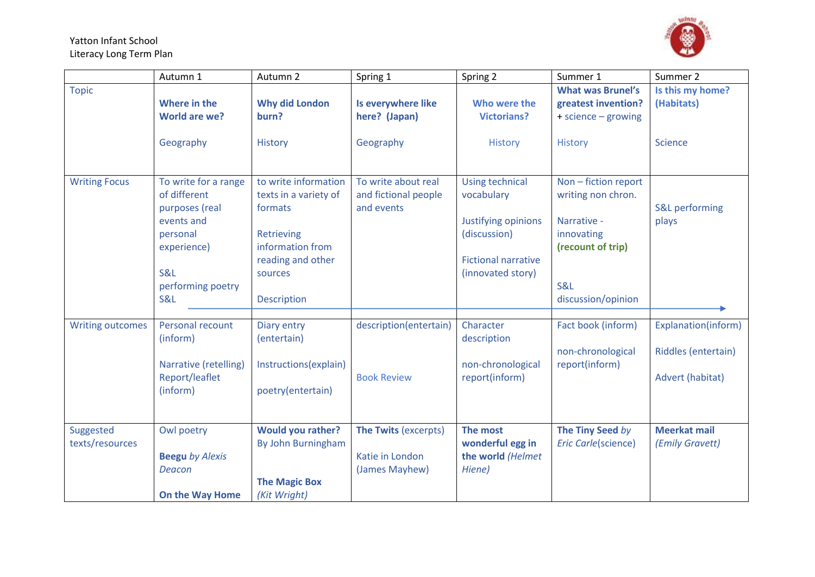

|                              | Autumn 1                                                                                                                                                 | Autumn 2                                                                                                                                         | Spring 1                                                         | Spring 2                                                                                                                       | Summer 1                                                                                                                  | Summer 2                                                       |
|------------------------------|----------------------------------------------------------------------------------------------------------------------------------------------------------|--------------------------------------------------------------------------------------------------------------------------------------------------|------------------------------------------------------------------|--------------------------------------------------------------------------------------------------------------------------------|---------------------------------------------------------------------------------------------------------------------------|----------------------------------------------------------------|
| <b>Topic</b>                 | Where in the<br>World are we?                                                                                                                            | <b>Why did London</b><br>burn?                                                                                                                   | Is everywhere like<br>here? (Japan)                              | Who were the<br><b>Victorians?</b>                                                                                             | <b>What was Brunel's</b><br>greatest invention?<br>+ science - growing                                                    | Is this my home?<br>(Habitats)                                 |
|                              | Geography                                                                                                                                                | <b>History</b>                                                                                                                                   | Geography                                                        | <b>History</b>                                                                                                                 | <b>History</b>                                                                                                            | Science                                                        |
| <b>Writing Focus</b>         | To write for a range<br>of different<br>purposes (real<br>events and<br>personal<br>experience)<br><b>S&amp;L</b><br>performing poetry<br><b>S&amp;L</b> | to write information<br>texts in a variety of<br>formats<br>Retrieving<br>information from<br>reading and other<br>sources<br><b>Description</b> | To write about real<br>and fictional people<br>and events        | <b>Using technical</b><br>vocabulary<br>Justifying opinions<br>(discussion)<br><b>Fictional narrative</b><br>(innovated story) | Non - fiction report<br>writing non chron.<br>Narrative -<br>innovating<br>(recount of trip)<br>S&L<br>discussion/opinion | S&L performing<br>plays                                        |
| <b>Writing outcomes</b>      | Personal recount<br>(inform)<br>Narrative (retelling)<br>Report/leaflet<br>(inform)                                                                      | Diary entry<br>(entertain)<br>Instructions(explain)<br>poetry(entertain)                                                                         | description(entertain)<br><b>Book Review</b>                     | Character<br>description<br>non-chronological<br>report(inform)                                                                | Fact book (inform)<br>non-chronological<br>report(inform)                                                                 | Explanation(inform)<br>Riddles (entertain)<br>Advert (habitat) |
| Suggested<br>texts/resources | Owl poetry<br><b>Beegu by Alexis</b><br>Deacon<br><b>On the Way Home</b>                                                                                 | <b>Would you rather?</b><br>By John Burningham<br><b>The Magic Box</b><br>(Kit Wright)                                                           | <b>The Twits (excerpts)</b><br>Katie in London<br>(James Mayhew) | The most<br>wonderful egg in<br>the world (Helmet<br>Hiene)                                                                    | The Tiny Seed by<br><b>Eric Carle(science)</b>                                                                            | <b>Meerkat mail</b><br>(Emily Gravett)                         |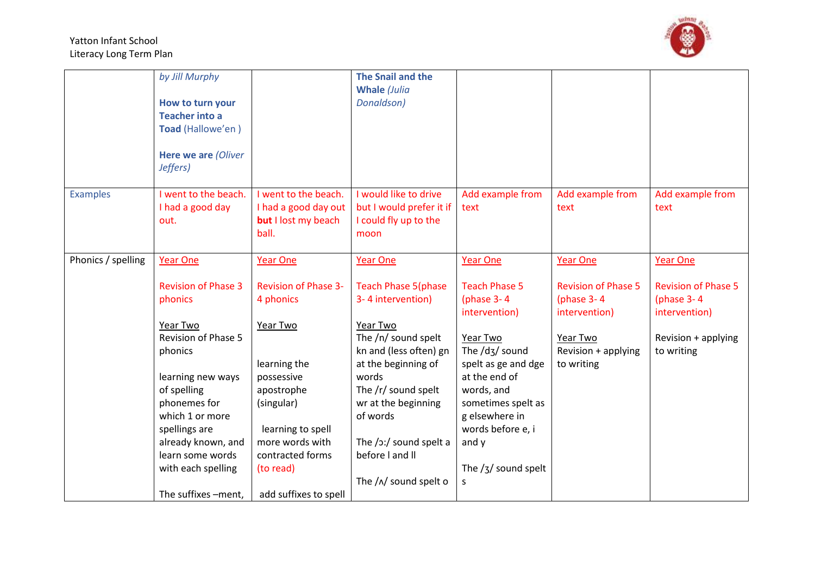

|                    | by Jill Murphy             |                             | The Snail and the                   |                               |                            |                            |
|--------------------|----------------------------|-----------------------------|-------------------------------------|-------------------------------|----------------------------|----------------------------|
|                    |                            |                             | <b>Whale (Julia</b>                 |                               |                            |                            |
|                    | How to turn your           |                             | Donaldson)                          |                               |                            |                            |
|                    | <b>Teacher into a</b>      |                             |                                     |                               |                            |                            |
|                    | Toad (Hallowe'en)          |                             |                                     |                               |                            |                            |
|                    |                            |                             |                                     |                               |                            |                            |
|                    | Here we are (Oliver        |                             |                                     |                               |                            |                            |
|                    | Jeffers)                   |                             |                                     |                               |                            |                            |
|                    |                            |                             | I would like to drive               |                               |                            |                            |
| <b>Examples</b>    | I went to the beach.       | I went to the beach.        |                                     | Add example from              | Add example from           | Add example from           |
|                    | I had a good day           | I had a good day out        | but I would prefer it if            | text                          | text                       | text                       |
|                    | out.                       | <b>but</b> I lost my beach  | I could fly up to the               |                               |                            |                            |
|                    |                            | ball.                       | moon                                |                               |                            |                            |
| Phonics / spelling | <b>Year One</b>            | <b>Year One</b>             | <b>Year One</b>                     | Year One                      | <b>Year One</b>            | <b>Year One</b>            |
|                    |                            |                             |                                     |                               |                            |                            |
|                    | <b>Revision of Phase 3</b> | <b>Revision of Phase 3-</b> | <b>Teach Phase 5(phase</b>          | <b>Teach Phase 5</b>          | <b>Revision of Phase 5</b> | <b>Revision of Phase 5</b> |
|                    | phonics                    | 4 phonics                   | 3-4 intervention)                   | (phase $3-4$                  | (phase $3-4$               | (phase $3-4$               |
|                    |                            |                             |                                     | intervention)                 | intervention)              | intervention)              |
|                    | Year Two                   | Year Two                    | Year Two                            |                               |                            |                            |
|                    | <b>Revision of Phase 5</b> |                             | The /n/ sound spelt                 | Year Two                      | Year Two                   | Revision + applying        |
|                    | phonics                    |                             | kn and (less often) gn              | The $/dz/$ sound              | Revision + applying        | to writing                 |
|                    |                            | learning the                | at the beginning of                 | spelt as ge and dge           | to writing                 |                            |
|                    | learning new ways          | possessive                  | words                               | at the end of                 |                            |                            |
|                    | of spelling                | apostrophe                  | The /r/ sound spelt                 | words, and                    |                            |                            |
|                    | phonemes for               | (singular)                  | wr at the beginning                 | sometimes spelt as            |                            |                            |
|                    | which 1 or more            |                             | of words                            | g elsewhere in                |                            |                            |
|                    | spellings are              | learning to spell           |                                     | words before e, i             |                            |                            |
|                    | already known, and         | more words with             | The $/$ $\frac{1}{2}$ sound spelt a | and y                         |                            |                            |
|                    | learn some words           | contracted forms            | before I and II                     |                               |                            |                            |
|                    | with each spelling         | (to read)                   |                                     | The $\frac{1}{3}$ sound spelt |                            |                            |
|                    |                            |                             | The $/\sqrt{N}$ sound spelt o       | S                             |                            |                            |
|                    | The suffixes -ment,        | add suffixes to spell       |                                     |                               |                            |                            |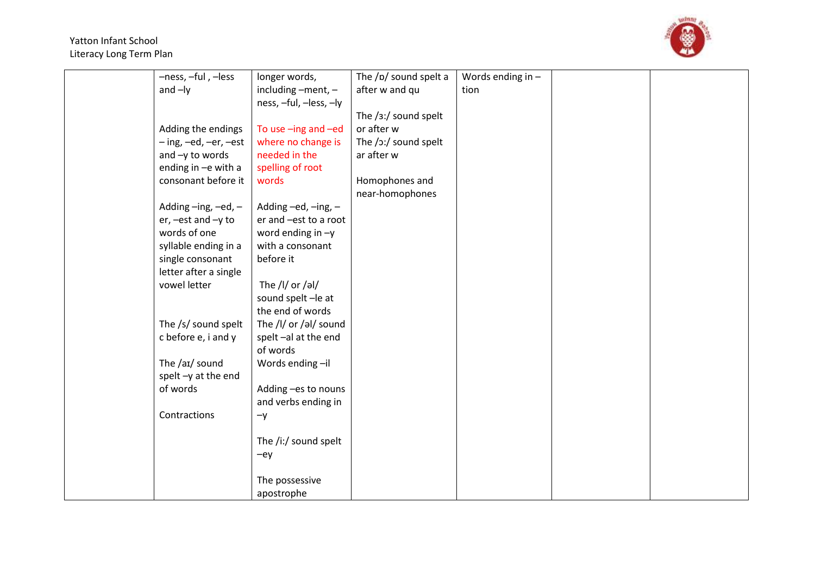

| -ness, -ful, -less     | longer words,          | The /p/ sound spelt a   | Words ending in $-$ |  |
|------------------------|------------------------|-------------------------|---------------------|--|
| and $-ly$              | including -ment, -     | after w and qu          | tion                |  |
|                        | ness, -ful, -less, -ly |                         |                     |  |
|                        |                        | The $/3$ :/ sound spelt |                     |  |
| Adding the endings     | To use -ing and -ed    | or after w              |                     |  |
| - ing, -ed, -er, -est  | where no change is     | The /ɔ:/ sound spelt    |                     |  |
| and -y to words        | needed in the          | ar after w              |                     |  |
| ending in -e with a    | spelling of root       |                         |                     |  |
| consonant before it    | words                  | Homophones and          |                     |  |
|                        |                        | near-homophones         |                     |  |
| Adding-ing,-ed,-       | Adding -ed, -ing, -    |                         |                     |  |
| $er, -est$ and $-y$ to | er and -est to a root  |                         |                     |  |
| words of one           | word ending in $-y$    |                         |                     |  |
| syllable ending in a   | with a consonant       |                         |                     |  |
| single consonant       | before it              |                         |                     |  |
| letter after a single  |                        |                         |                     |  |
| vowel letter           | The /l/ or /əl/        |                         |                     |  |
|                        | sound spelt-le at      |                         |                     |  |
|                        | the end of words       |                         |                     |  |
| The /s/ sound spelt    | The /l/ or /əl/ sound  |                         |                     |  |
| c before e, i and y    | spelt-al at the end    |                         |                     |  |
|                        | of words               |                         |                     |  |
| The /aɪ/ sound         | Words ending-il        |                         |                     |  |
| spelt-y at the end     |                        |                         |                     |  |
| of words               | Adding -es to nouns    |                         |                     |  |
|                        | and verbs ending in    |                         |                     |  |
| Contractions           | $-y$                   |                         |                     |  |
|                        |                        |                         |                     |  |
|                        | The /i:/ sound spelt   |                         |                     |  |
|                        | $-ey$                  |                         |                     |  |
|                        |                        |                         |                     |  |
|                        | The possessive         |                         |                     |  |
|                        | apostrophe             |                         |                     |  |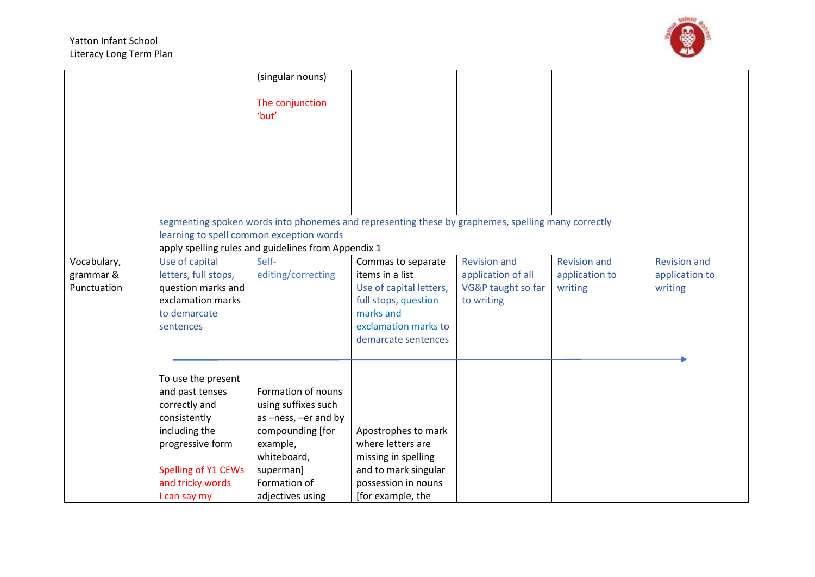

|                                         |                                                                                                                                                                        | (singular nouns)<br>The conjunction<br>'but'                                                                                                                      |                                                                                                                                                      |                                                                               |                                                  |                                                  |
|-----------------------------------------|------------------------------------------------------------------------------------------------------------------------------------------------------------------------|-------------------------------------------------------------------------------------------------------------------------------------------------------------------|------------------------------------------------------------------------------------------------------------------------------------------------------|-------------------------------------------------------------------------------|--------------------------------------------------|--------------------------------------------------|
|                                         |                                                                                                                                                                        | learning to spell common exception words<br>apply spelling rules and guidelines from Appendix 1                                                                   | segmenting spoken words into phonemes and representing these by graphemes, spelling many correctly                                                   |                                                                               |                                                  |                                                  |
| Vocabulary,<br>grammar &<br>Punctuation | Use of capital<br>letters, full stops,<br>question marks and<br>exclamation marks<br>to demarcate<br>sentences                                                         | Self-<br>editing/correcting                                                                                                                                       | Commas to separate<br>items in a list<br>Use of capital letters,<br>full stops, question<br>marks and<br>exclamation marks to<br>demarcate sentences | <b>Revision and</b><br>application of all<br>VG&P taught so far<br>to writing | <b>Revision and</b><br>application to<br>writing | <b>Revision and</b><br>application to<br>writing |
|                                         | To use the present<br>and past tenses<br>correctly and<br>consistently<br>including the<br>progressive form<br>Spelling of Y1 CEWs<br>and tricky words<br>I can say my | Formation of nouns<br>using suffixes such<br>as -ness, -er and by<br>compounding [for<br>example,<br>whiteboard,<br>superman]<br>Formation of<br>adjectives using | Apostrophes to mark<br>where letters are<br>missing in spelling<br>and to mark singular<br>possession in nouns<br>[for example, the                  |                                                                               |                                                  |                                                  |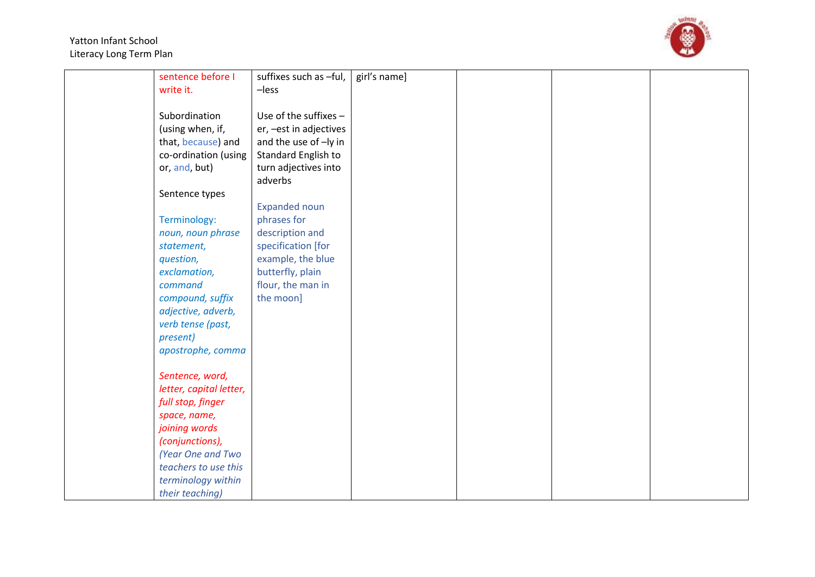

| sentence before I       | suffixes such as -ful,  | girl's name] |  |  |
|-------------------------|-------------------------|--------------|--|--|
| write it.               | $-$ less                |              |  |  |
|                         |                         |              |  |  |
| Subordination           | Use of the suffixes $-$ |              |  |  |
| (using when, if,        | er, - est in adjectives |              |  |  |
| that, because) and      | and the use of -ly in   |              |  |  |
| co-ordination (using    | Standard English to     |              |  |  |
| or, and, but)           | turn adjectives into    |              |  |  |
|                         | adverbs                 |              |  |  |
| Sentence types          |                         |              |  |  |
|                         | <b>Expanded noun</b>    |              |  |  |
| Terminology:            | phrases for             |              |  |  |
| noun, noun phrase       | description and         |              |  |  |
| statement,              | specification [for      |              |  |  |
| question,               | example, the blue       |              |  |  |
| exclamation,            | butterfly, plain        |              |  |  |
| command                 | flour, the man in       |              |  |  |
| compound, suffix        | the moon]               |              |  |  |
| adjective, adverb,      |                         |              |  |  |
| verb tense (past,       |                         |              |  |  |
| present)                |                         |              |  |  |
| apostrophe, comma       |                         |              |  |  |
|                         |                         |              |  |  |
| Sentence, word,         |                         |              |  |  |
| letter, capital letter, |                         |              |  |  |
| full stop, finger       |                         |              |  |  |
| space, name,            |                         |              |  |  |
| joining words           |                         |              |  |  |
| (conjunctions),         |                         |              |  |  |
| (Year One and Two       |                         |              |  |  |
| teachers to use this    |                         |              |  |  |
| terminology within      |                         |              |  |  |
| their teaching)         |                         |              |  |  |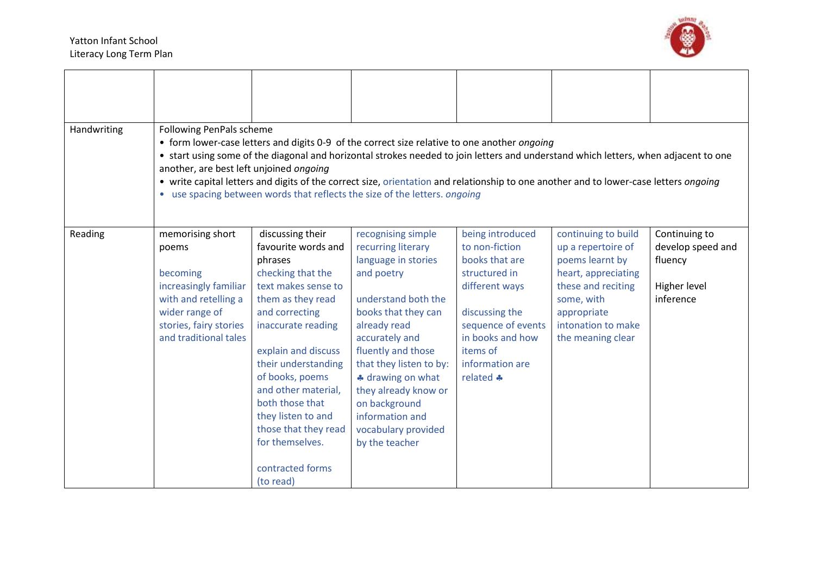

| Handwriting | Following PenPals scheme<br>another, are best left unjoined ongoing                                                                                         |                                                                                                                                                                                                                                                                                                                                                                          | • form lower-case letters and digits 0-9 of the correct size relative to one another ongoing<br>• start using some of the diagonal and horizontal strokes needed to join letters and understand which letters, when adjacent to one<br>• write capital letters and digits of the correct size, orientation and relationship to one another and to lower-case letters ongoing<br>• use spacing between words that reflects the size of the letters. ongoing |                                                                                                                                                                                                 |                                                                                                                                                                                   |                                                                            |
|-------------|-------------------------------------------------------------------------------------------------------------------------------------------------------------|--------------------------------------------------------------------------------------------------------------------------------------------------------------------------------------------------------------------------------------------------------------------------------------------------------------------------------------------------------------------------|------------------------------------------------------------------------------------------------------------------------------------------------------------------------------------------------------------------------------------------------------------------------------------------------------------------------------------------------------------------------------------------------------------------------------------------------------------|-------------------------------------------------------------------------------------------------------------------------------------------------------------------------------------------------|-----------------------------------------------------------------------------------------------------------------------------------------------------------------------------------|----------------------------------------------------------------------------|
| Reading     | memorising short<br>poems<br>becoming<br>increasingly familiar<br>with and retelling a<br>wider range of<br>stories, fairy stories<br>and traditional tales | discussing their<br>favourite words and<br>phrases<br>checking that the<br>text makes sense to<br>them as they read<br>and correcting<br>inaccurate reading<br>explain and discuss<br>their understanding<br>of books, poems<br>and other material,<br>both those that<br>they listen to and<br>those that they read<br>for themselves.<br>contracted forms<br>(to read) | recognising simple<br>recurring literary<br>language in stories<br>and poetry<br>understand both the<br>books that they can<br>already read<br>accurately and<br>fluently and those<br>that they listen to by:<br>* drawing on what<br>they already know or<br>on background<br>information and<br>vocabulary provided<br>by the teacher                                                                                                                   | being introduced<br>to non-fiction<br>books that are<br>structured in<br>different ways<br>discussing the<br>sequence of events<br>in books and how<br>items of<br>information are<br>related * | continuing to build<br>up a repertoire of<br>poems learnt by<br>heart, appreciating<br>these and reciting<br>some, with<br>appropriate<br>intonation to make<br>the meaning clear | Continuing to<br>develop speed and<br>fluency<br>Higher level<br>inference |